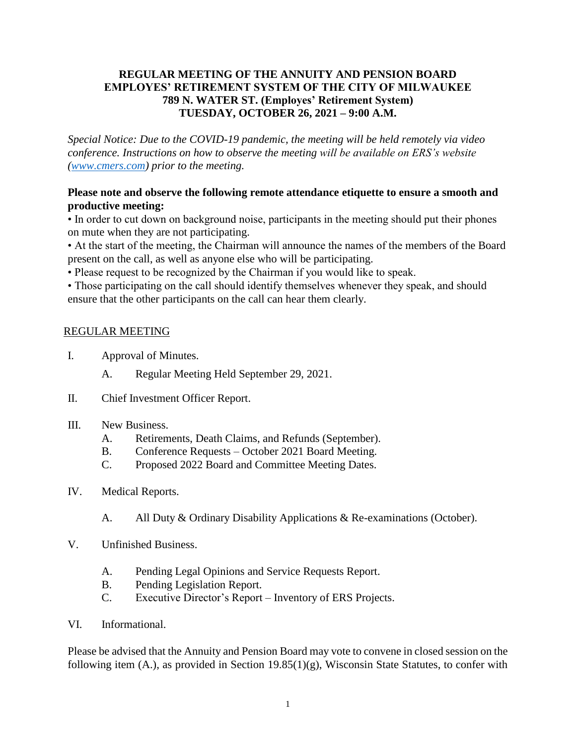## **REGULAR MEETING OF THE ANNUITY AND PENSION BOARD EMPLOYES' RETIREMENT SYSTEM OF THE CITY OF MILWAUKEE 789 N. WATER ST. (Employes' Retirement System) TUESDAY, OCTOBER 26, 2021 – 9:00 A.M.**

*Special Notice: Due to the COVID-19 pandemic, the meeting will be held remotely via video conference. Instructions on how to observe the meeting will be available on ERS's website [\(www.cmers.com\)](http://www.cmers.com/) prior to the meeting.*

## **Please note and observe the following remote attendance etiquette to ensure a smooth and productive meeting:**

• In order to cut down on background noise, participants in the meeting should put their phones on mute when they are not participating.

• At the start of the meeting, the Chairman will announce the names of the members of the Board present on the call, as well as anyone else who will be participating.

• Please request to be recognized by the Chairman if you would like to speak.

• Those participating on the call should identify themselves whenever they speak, and should ensure that the other participants on the call can hear them clearly.

# REGULAR MEETING

- I. Approval of Minutes.
	- A. Regular Meeting Held September 29, 2021.
- II. Chief Investment Officer Report.
- III. New Business.
	- A. Retirements, Death Claims, and Refunds (September).
	- B. Conference Requests October 2021 Board Meeting.
	- C. Proposed 2022 Board and Committee Meeting Dates.
- IV. Medical Reports.
	- A. All Duty & Ordinary Disability Applications & Re-examinations (October).
- V. Unfinished Business.
	- A. Pending Legal Opinions and Service Requests Report.
	- B. Pending Legislation Report.
	- C. Executive Director's Report Inventory of ERS Projects.
- VI. Informational.

Please be advised that the Annuity and Pension Board may vote to convene in closed session on the following item (A.), as provided in Section 19.85(1)(g), Wisconsin State Statutes, to confer with